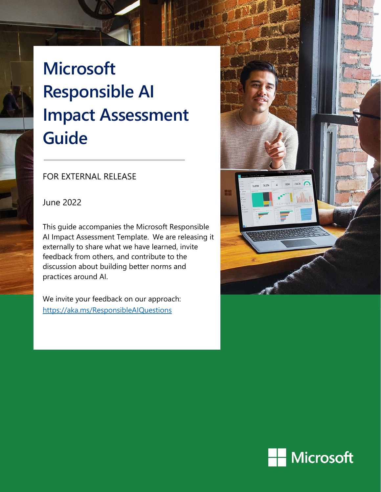**Microsoft Responsible AI Impact Assessment Guide**

### FOR EXTERNAL RELEASE

June 2022

This guide accompanies the Microsoft Responsible AI Impact Assessment Template. We are releasing it externally to share what we have learned, invite feedback from others, and contribute to the discussion about building better norms and practices around AI.

We invite your feedback on our approach: <https://aka.ms/ResponsibleAIQuestions>



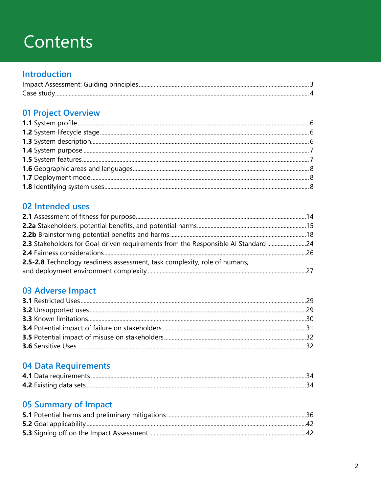# Contents

# **Introduction**

# 01 Project Overview

# 02 Intended uses

| 2.3 Stakeholders for Goal-driven requirements from the Responsible AI Standard 24 |  |
|-----------------------------------------------------------------------------------|--|
|                                                                                   |  |
| 2.5-2.8 Technology readiness assessment, task complexity, role of humans,         |  |
|                                                                                   |  |

# 03 Adverse Impact

# 04 Data Requirements

# 05 Summary of Impact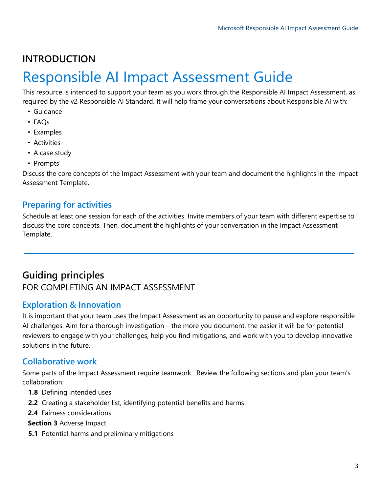# **INTRODUCTION**

# Responsible AI Impact Assessment Guide

This resource is intended to support your team as you work through the Responsible AI Impact Assessment, as required by the v2 Responsible AI Standard. It will help frame your conversations about Responsible AI with:

- Guidance
- FAQs
- Examples
- Activities
- A case study
- Prompts

Discuss the core concepts of the Impact Assessment with your team and document the highlights in the Impact Assessment Template.

### **Preparing for activities**

Schedule at least one session for each of the activities. Invite members of your team with different expertise to discuss the core concepts. Then, document the highlights of your conversation in the Impact Assessment Template.

# **Guiding principles** FOR COMPLETING AN IMPACT ASSESSMENT

### **Exploration & Innovation**

It is important that your team uses the Impact Assessment as an opportunity to pause and explore responsible AI challenges. Aim for a thorough investigation – the more you document, the easier it will be for potential reviewers to engage with your challenges, help you find mitigations, and work with you to develop innovative solutions in the future.

### **Collaborative work**

Some parts of the Impact Assessment require teamwork. Review the following sections and plan your team's collaboration:

- **1.8** Defining intended uses
- **2.2** Creating a stakeholder list, identifying potential benefits and harms
- **2.4** Fairness considerations
- **Section 3** Adverse Impact
- **5.1** Potential harms and preliminary mitigations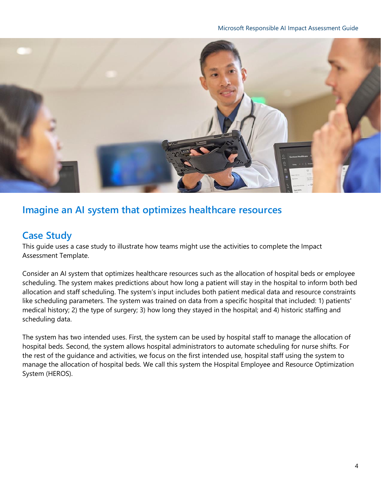### Microsoft Responsible AI Impact Assessment Guide



# **Imagine an AI system that optimizes healthcare resources**

# **Case Study**

This guide uses a case study to illustrate how teams might use the activities to complete the Impact Assessment Template.

Consider an AI system that optimizes healthcare resources such as the allocation of hospital beds or employee scheduling. The system makes predictions about how long a patient will stay in the hospital to inform both bed allocation and staff scheduling. The system's input includes both patient medical data and resource constraints like scheduling parameters. The system was trained on data from a specific hospital that included: 1) patients' medical history; 2) the type of surgery; 3) how long they stayed in the hospital; and 4) historic staffing and scheduling data.

The system has two intended uses. First, the system can be used by hospital staff to manage the allocation of hospital beds. Second, the system allows hospital administrators to automate scheduling for nurse shifts. For the rest of the guidance and activities, we focus on the first intended use, hospital staff using the system to manage the allocation of hospital beds. We call this system the Hospital Employee and Resource Optimization System (HEROS).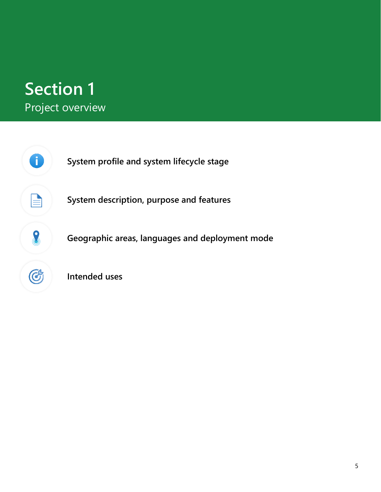# **Section 1** Project overview

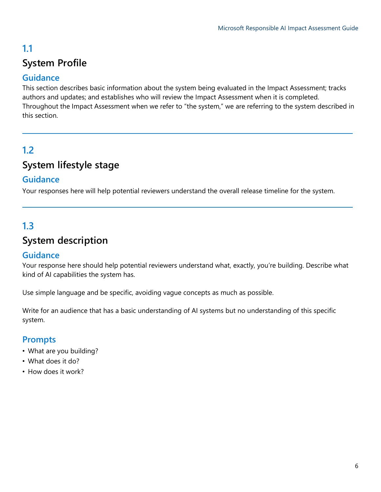# **1.1 System Profile**

### **Guidance**

This section describes basic information about the system being evaluated in the Impact Assessment; tracks authors and updates; and establishes who will review the Impact Assessment when it is completed. Throughout the Impact Assessment when we refer to "the system," we are referring to the system described in this section.

# **1.2**

# **System lifestyle stage**

### **Guidance**

Your responses here will help potential reviewers understand the overall release timeline for the system.

# **1.3**

# **System description**

### **Guidance**

Your response here should help potential reviewers understand what, exactly, you're building. Describe what kind of AI capabilities the system has.

Use simple language and be specific, avoiding vague concepts as much as possible.

Write for an audience that has a basic understanding of AI systems but no understanding of this specific system.

### **Prompts**

- What are you building?
- What does it do?
- How does it work?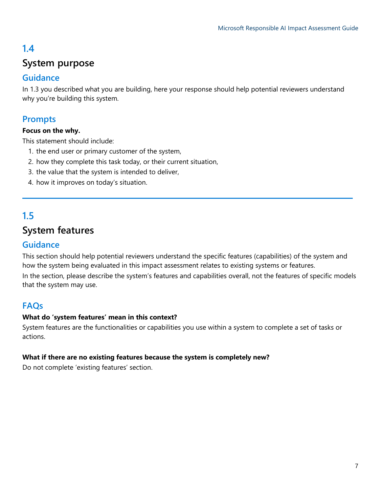# **System purpose**

### **Guidance**

In 1.3 you described what you are building, here your response should help potential reviewers understand why you're building this system.

### **Prompts**

### **Focus on the why.**

This statement should include:

- 1. the end user or primary customer of the system,
- 2. how they complete this task today, or their current situation,
- 3. the value that the system is intended to deliver,
- 4. how it improves on today's situation.

# **1.5**

# **System features**

### **Guidance**

This section should help potential reviewers understand the specific features (capabilities) of the system and how the system being evaluated in this impact assessment relates to existing systems or features. In the section, please describe the system's features and capabilities overall, not the features of specific models that the system may use.

### **FAQs**

### **What do 'system features' mean in this context?**

System features are the functionalities or capabilities you use within a system to complete a set of tasks or actions.

### **What if there are no existing features because the system is completely new?**

Do not complete 'existing features' section.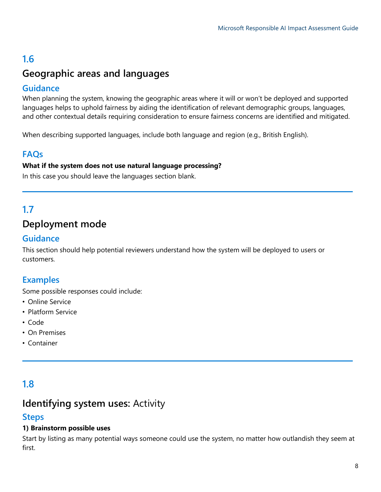# **Geographic areas and languages**

### **Guidance**

When planning the system, knowing the geographic areas where it will or won't be deployed and supported languages helps to uphold fairness by aiding the identification of relevant demographic groups, languages, and other contextual details requiring consideration to ensure fairness concerns are identified and mitigated.

When describing supported languages, include both language and region (e.g., British English).

### **FAQs**

### **What if the system does not use natural language processing?**

In this case you should leave the languages section blank.

# **1.7**

# **Deployment mode**

### **Guidance**

This section should help potential reviewers understand how the system will be deployed to users or customers.

### **Examples**

Some possible responses could include:

- Online Service
- Platform Service
- Code
- On Premises
- Container

# **1.8**

# **Identifying system uses:** Activity

### **Steps**

### **1) Brainstorm possible uses**

Start by listing as many potential ways someone could use the system, no matter how outlandish they seem at first.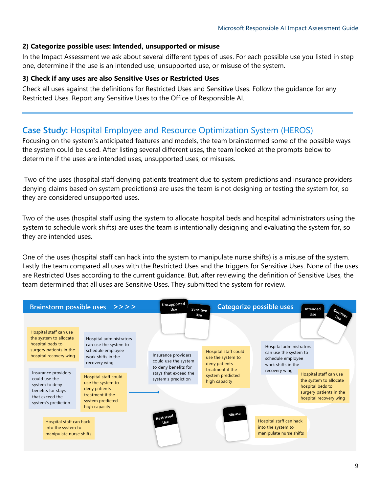### **2) Categorize possible uses: Intended, unsupported or misuse**

In the Impact Assessment we ask about several different types of uses. For each possible use you listed in step one, determine if the use is an intended use, unsupported use, or misuse of the system.

### **3) Check if any uses are also Sensitive Uses or Restricted Uses**

Check all uses against the definitions for Restricted Uses and Sensitive Uses. Follow the guidance for any Restricted Uses. Report any Sensitive Uses to the Office of Responsible AI.

### **Case Study:** Hospital Employee and Resource Optimization System (HEROS)

Focusing on the system's anticipated features and models, the team brainstormed some of the possible ways the system could be used. After listing several different uses, the team looked at the prompts below to determine if the uses are intended uses, unsupported uses, or misuses.

Two of the uses (hospital staff denying patients treatment due to system predictions and insurance providers denying claims based on system predictions) are uses the team is not designing or testing the system for, so they are considered unsupported uses.

Two of the uses (hospital staff using the system to allocate hospital beds and hospital administrators using the system to schedule work shifts) are uses the team is intentionally designing and evaluating the system for, so they are intended uses.

One of the uses (hospital staff can hack into the system to manipulate nurse shifts) is a misuse of the system. Lastly the team compared all uses with the Restricted Uses and the triggers for Sensitive Uses. None of the uses are Restricted Uses according to the current guidance. But, after reviewing the definition of Sensitive Uses, the team determined that all uses are Sensitive Uses. They submitted the system for review.

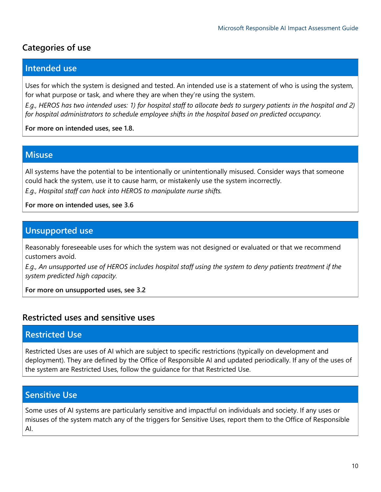### **Categories of use**

### **Intended use**

Uses for which the system is designed and tested. An intended use is a statement of who is using the system, for what purpose or task, and where they are when they're using the system.

*E.g., HEROS has two intended uses: 1) for hospital staff to allocate beds to surgery patients in the hospital and 2) for hospital administrators to schedule employee shifts in the hospital based on predicted occupancy.* 

**For more on intended uses, see 1.8.**

### **Misuse**

All systems have the potential to be intentionally or unintentionally misused. Consider ways that someone could hack the system, use it to cause harm, or mistakenly use the system incorrectly. *E.g., Hospital staff can hack into HEROS to manipulate nurse shifts.* 

**For more on intended uses, see 3.6**

### **Unsupported use**

Reasonably foreseeable uses for which the system was not designed or evaluated or that we recommend customers avoid.

*E.g., An unsupported use of HEROS includes hospital staff using the system to deny patients treatment if the system predicted high capacity.* 

**For more on unsupported uses, see 3.2**

### **Restricted uses and sensitive uses**

### **Restricted Use**

Restricted Uses are uses of AI which are subject to specific restrictions (typically on development and deployment). They are defined by the Office of Responsible AI and updated periodically. If any of the uses of the system are Restricted Uses, follow the guidance for that Restricted Use.

### **Sensitive Use**

Some uses of AI systems are particularly sensitive and impactful on individuals and society. If any uses or misuses of the system match any of the triggers for Sensitive Uses, report them to the Office of Responsible AI.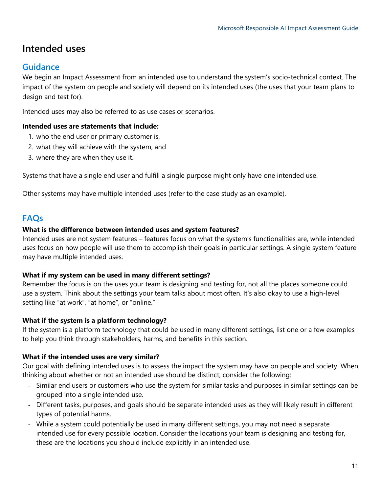# **Intended uses**

### **Guidance**

We begin an Impact Assessment from an intended use to understand the system's socio-technical context. The impact of the system on people and society will depend on its intended uses (the uses that your team plans to design and test for).

Intended uses may also be referred to as use cases or scenarios.

### **Intended uses are statements that include:**

- 1. who the end user or primary customer is,
- 2. what they will achieve with the system, and
- 3. where they are when they use it.

Systems that have a single end user and fulfill a single purpose might only have one intended use.

Other systems may have multiple intended uses (refer to the case study as an example).

### **FAQs**

### **What is the difference between intended uses and system features?**

Intended uses are not system features – features focus on what the system's functionalities are, while intended uses focus on how people will use them to accomplish their goals in particular settings. A single system feature may have multiple intended uses.

### **What if my system can be used in many different settings?**

Remember the focus is on the uses your team is designing and testing for, not all the places someone could use a system. Think about the settings your team talks about most often. It's also okay to use a high-level setting like "at work", "at home", or "online."

### **What if the system is a platform technology?**

If the system is a platform technology that could be used in many different settings, list one or a few examples to help you think through stakeholders, harms, and benefits in this section.

### **What if the intended uses are very similar?**

Our goal with defining intended uses is to assess the impact the system may have on people and society. When thinking about whether or not an intended use should be distinct, consider the following:

- Similar end users or customers who use the system for similar tasks and purposes in similar settings can be grouped into a single intended use.
- Different tasks, purposes, and goals should be separate intended uses as they will likely result in different types of potential harms.
- While a system could potentially be used in many different settings, you may not need a separate intended use for every possible location. Consider the locations your team is designing and testing for, these are the locations you should include explicitly in an intended use.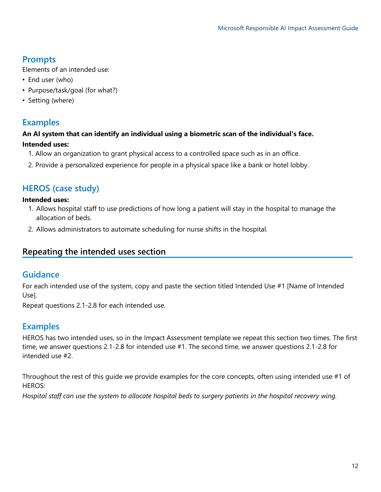### **Prompts**

Elements of an intended use:

- End user (who)
- Purpose/task/goal (for what?)
- Setting (where)

### **Examples**

### **An AI system that can identify an individual using a biometric scan of the individual's face. Intended uses:**

- 1. Allow an organization to grant physical access to a controlled space such as in an office.
- 2. Provide a personalized experience for people in a physical space like a bank or hotel lobby.

# **HEROS (case study)**

### **Intended uses:**

- 1. Allows hospital staff to use predictions of how long a patient will stay in the hospital to manage the allocation of beds.
- 2. Allows administrators to automate scheduling for nurse shifts in the hospital.

### **Repeating the intended uses section**

### **Guidance**

For each intended use of the system, copy and paste the section titled Intended Use #1 [Name of Intended Use].

Repeat questions 2.1-2.8 for each intended use.

### **Examples**

HEROS has two intended uses, so in the Impact Assessment template we repeat this section two times. The first time, we answer questions 2.1-2.8 for intended use #1. The second time, we answer questions 2.1-2.8 for intended use #2.

Throughout the rest of this guide we provide examples for the core concepts, often using intended use #1 of HEROS:

*Hospital staff can use the system to allocate hospital beds to surgery patients in the hospital recovery wing.*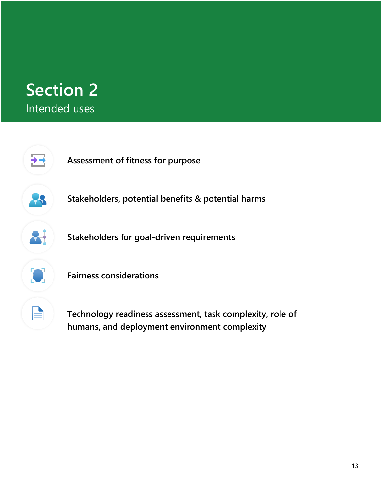# **Section 2** Intended uses

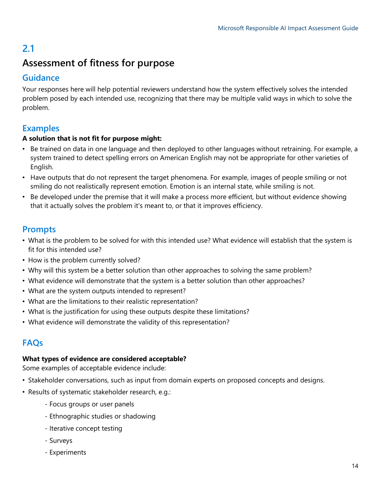# **Assessment of fitness for purpose**

### **Guidance**

Your responses here will help potential reviewers understand how the system effectively solves the intended problem posed by each intended use, recognizing that there may be multiple valid ways in which to solve the problem.

### **Examples**

### **A solution that is not fit for purpose might:**

- Be trained on data in one language and then deployed to other languages without retraining. For example, a system trained to detect spelling errors on American English may not be appropriate for other varieties of English.
- Have outputs that do not represent the target phenomena. For example, images of people smiling or not smiling do not realistically represent emotion. Emotion is an internal state, while smiling is not.
- Be developed under the premise that it will make a process more efficient, but without evidence showing that it actually solves the problem it's meant to, or that it improves efficiency.

### **Prompts**

- What is the problem to be solved for with this intended use? What evidence will establish that the system is fit for this intended use?
- How is the problem currently solved?
- Why will this system be a better solution than other approaches to solving the same problem?
- What evidence will demonstrate that the system is a better solution than other approaches?
- What are the system outputs intended to represent?
- What are the limitations to their realistic representation?
- What is the justification for using these outputs despite these limitations?
- What evidence will demonstrate the validity of this representation?

### **FAQs**

### **What types of evidence are considered acceptable?**

Some examples of acceptable evidence include:

- Stakeholder conversations, such as input from domain experts on proposed concepts and designs.
- Results of systematic stakeholder research, e.g.:
	- Focus groups or user panels
	- Ethnographic studies or shadowing
	- Iterative concept testing
	- Surveys
	- Experiments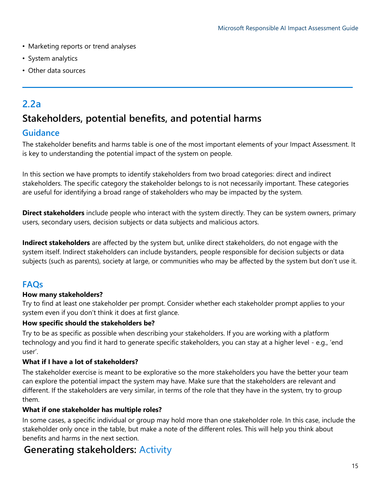- Marketing reports or trend analyses
- System analytics
- Other data sources

# **2.2a Stakeholders, potential benefits, and potential harms**

### **Guidance**

The stakeholder benefits and harms table is one of the most important elements of your Impact Assessment. It is key to understanding the potential impact of the system on people.

In this section we have prompts to identify stakeholders from two broad categories: direct and indirect stakeholders. The specific category the stakeholder belongs to is not necessarily important. These categories are useful for identifying a broad range of stakeholders who may be impacted by the system.

**Direct stakeholders** include people who interact with the system directly. They can be system owners, primary users, secondary users, decision subjects or data subjects and malicious actors.

**Indirect stakeholders** are affected by the system but, unlike direct stakeholders, do not engage with the system itself. Indirect stakeholders can include bystanders, people responsible for decision subjects or data subjects (such as parents), society at large, or communities who may be affected by the system but don't use it.

### **FAQs**

### **How many stakeholders?**

Try to find at least one stakeholder per prompt. Consider whether each stakeholder prompt applies to your system even if you don't think it does at first glance.

### **How specific should the stakeholders be?**

Try to be as specific as possible when describing your stakeholders. If you are working with a platform technology and you find it hard to generate specific stakeholders, you can stay at a higher level - e.g., 'end user'.

### **What if I have a lot of stakeholders?**

The stakeholder exercise is meant to be explorative so the more stakeholders you have the better your team can explore the potential impact the system may have. Make sure that the stakeholders are relevant and different. If the stakeholders are very similar, in terms of the role that they have in the system, try to group them.

### **What if one stakeholder has multiple roles?**

In some cases, a specific individual or group may hold more than one stakeholder role. In this case, include the stakeholder only once in the table, but make a note of the different roles. This will help you think about benefits and harms in the next section.

# **Generating stakeholders:** Activity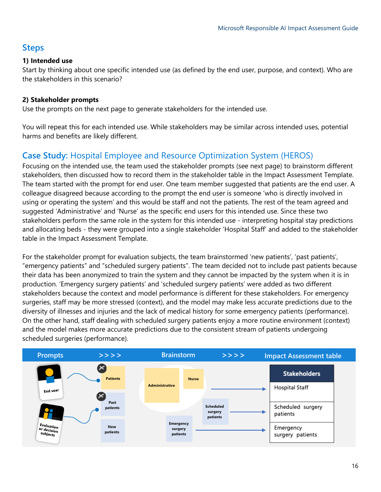### **Steps**

### **1) Intended use**

Start by thinking about one specific intended use (as defined by the end user, purpose, and context). Who are the stakeholders in this scenario?

### **2) Stakeholder prompts**

Use the prompts on the next page to generate stakeholders for the intended use.

You will repeat this for each intended use. While stakeholders may be similar across intended uses, potential harms and benefits are likely different.

# **Case Study:** Hospital Employee and Resource Optimization System (HEROS)

Focusing on the intended use, the team used the stakeholder prompts (see next page) to brainstorm different stakeholders, then discussed how to record them in the stakeholder table in the Impact Assessment Template. The team started with the prompt for end user. One team member suggested that patients are the end user. A colleague disagreed because according to the prompt the end user is someone 'who is directly involved in using or operating the system' and this would be staff and not the patients. The rest of the team agreed and suggested 'Administrative' and 'Nurse' as the specific end users for this intended use. Since these two stakeholders perform the same role in the system for this intended use - interpreting hospital stay predictions and allocating beds - they were grouped into a single stakeholder 'Hospital Staff' and added to the stakeholder table in the Impact Assessment Template.

For the stakeholder prompt for evaluation subjects, the team brainstormed 'new patients', 'past patients', "emergency patients" and "scheduled surgery patients". The team decided not to include past patients because their data has been anonymized to train the system and they cannot be impacted by the system when it is in production. 'Emergency surgery patients' and 'scheduled surgery patients' were added as two different stakeholders because the context and model performance is different for these stakeholders. For emergency surgeries, staff may be more stressed (context), and the model may make less accurate predictions due to the diversity of illnesses and injuries and the lack of medical history for some emergency patients (performance). On the other hand, staff dealing with scheduled surgery patients enjoy a more routine environment (context) and the model makes more accurate predictions due to the consistent stream of patients undergoing scheduled surgeries (performance).

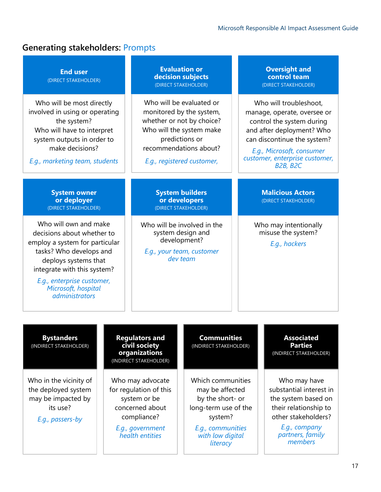# **Generating stakeholders:** Prompts

| <b>End user</b><br>(DIRECT STAKEHOLDER)                                                                                                                                                                                                               |  | <b>Evaluation or</b><br>decision subjects<br>(DIRECT STAKEHOLDER)                                                                                                                                                                                                                       |                                              |                                                              | <b>Oversight and</b><br>control team<br>(DIRECT STAKEHOLDER)                                                                                                                                                                     |
|-------------------------------------------------------------------------------------------------------------------------------------------------------------------------------------------------------------------------------------------------------|--|-----------------------------------------------------------------------------------------------------------------------------------------------------------------------------------------------------------------------------------------------------------------------------------------|----------------------------------------------|--------------------------------------------------------------|----------------------------------------------------------------------------------------------------------------------------------------------------------------------------------------------------------------------------------|
| Who will be most directly<br>involved in using or operating<br>the system?<br>Who will have to interpret<br>system outputs in order to<br>make decisions?<br>E.g., marketing team, students                                                           |  | Who will be evaluated or<br>monitored by the system,<br>whether or not by choice?<br>Who will the system make<br>predictions or<br>recommendations about?<br>E.g., registered customer,                                                                                                 |                                              |                                                              | Who will troubleshoot,<br>manage, operate, oversee or<br>control the system during<br>and after deployment? Who<br>can discontinue the system?<br>E.g., Microsoft, consumer<br>customer, enterprise customer,<br><b>B2B, B2C</b> |
| <b>System owner</b><br>or deployer<br>(DIRECT STAKEHOLDER)                                                                                                                                                                                            |  | <b>System builders</b><br>or developers<br>(DIRECT STAKEHOLDER)                                                                                                                                                                                                                         |                                              |                                                              | <b>Malicious Actors</b><br>(DIRECT STAKEHOLDER)                                                                                                                                                                                  |
| Who will own and make<br>decisions about whether to<br>employ a system for particular<br>tasks? Who develops and<br>deploys systems that<br>integrate with this system?<br>E.g., enterprise customer,<br>Microsoft, hospital<br><i>administrators</i> |  | Who will be involved in the<br>system design and<br>development?<br>E.g., your team, customer<br>dev team                                                                                                                                                                               |                                              | Who may intentionally<br>misuse the system?<br>E.g., hackers |                                                                                                                                                                                                                                  |
| <b>Bystanders</b><br>(INDIRECT STAKEHOLDER)                                                                                                                                                                                                           |  | <b>Regulators and</b><br>civil society<br>organizations<br>(INDIRECT STAKEHOLDER)                                                                                                                                                                                                       | <b>Communities</b><br>(INDIRECT STAKEHOLDER) |                                                              | <b>Associated</b><br><b>Parties</b><br>(INDIRECT STAKEHOLDER)                                                                                                                                                                    |
| Who in the vicinity of<br>the deployed system<br>may be impacted by<br>its use?<br>E.g., passers-by                                                                                                                                                   |  | Which communities<br>Who may advocate<br>may be affected<br>for regulation of this<br>by the short- or<br>system or be<br>concerned about<br>long-term use of the<br>system?<br>compliance?<br>E.g., communities<br>E.g., government<br>health entities<br>with low digital<br>literacy |                                              |                                                              | Who may have<br>substantial interest in<br>the system based on<br>their relationship to<br>other stakeholders?<br>E.g., company<br>partners, family<br>members                                                                   |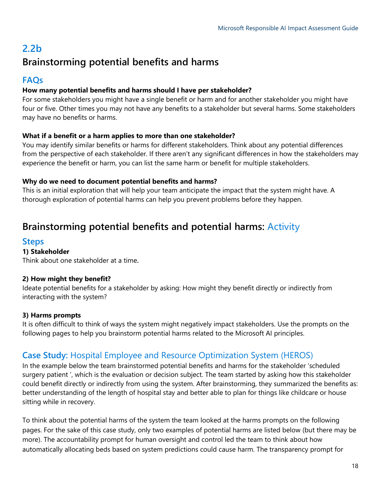# **2.2b Brainstorming potential benefits and harms**

### **FAQs**

### **How many potential benefits and harms should I have per stakeholder?**

For some stakeholders you might have a single benefit or harm and for another stakeholder you might have four or five. Other times you may not have any benefits to a stakeholder but several harms. Some stakeholders may have no benefits or harms.

### **What if a benefit or a harm applies to more than one stakeholder?**

You may identify similar benefits or harms for different stakeholders. Think about any potential differences from the perspective of each stakeholder. If there aren't any significant differences in how the stakeholders may experience the benefit or harm, you can list the same harm or benefit for multiple stakeholders.

### **Why do we need to document potential benefits and harms?**

This is an initial exploration that will help your team anticipate the impact that the system might have. A thorough exploration of potential harms can help you prevent problems before they happen.

# **Brainstorming potential benefits and potential harms:** Activity

### **Steps**

### **1) Stakeholder**

Think about one stakeholder at a time**.**

### **2) How might they benefit?**

Ideate potential benefits for a stakeholder by asking: How might they benefit directly or indirectly from interacting with the system?

### **3) Harms prompts**

It is often difficult to think of ways the system might negatively impact stakeholders. Use the prompts on the following pages to help you brainstorm potential harms related to the Microsoft AI principles.

### **Case Study:** Hospital Employee and Resource Optimization System (HEROS)

In the example below the team brainstormed potential benefits and harms for the stakeholder 'scheduled surgery patient ', which is the evaluation or decision subject. The team started by asking how this stakeholder could benefit directly or indirectly from using the system. After brainstorming, they summarized the benefits as: better understanding of the length of hospital stay and better able to plan for things like childcare or house sitting while in recovery.

To think about the potential harms of the system the team looked at the harms prompts on the following pages. For the sake of this case study, only two examples of potential harms are listed below (but there may be more). The accountability prompt for human oversight and control led the team to think about how automatically allocating beds based on system predictions could cause harm. The transparency prompt for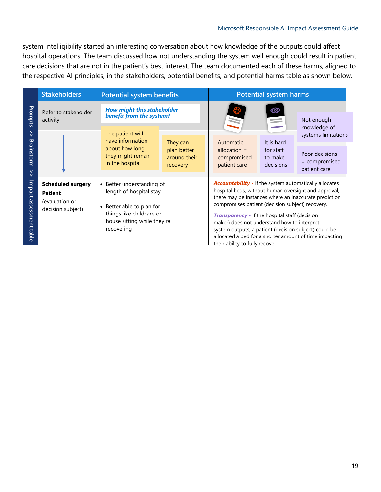### Microsoft Responsible AI Impact Assessment Guide

system intelligibility started an interesting conversation about how knowledge of the outputs could affect hospital operations. The team discussed how not understanding the system well enough could result in patient care decisions that are not in the patient's best interest. The team documented each of these harms, aligned to the respective AI principles, in the stakeholders, potential benefits, and potential harms table as shown below.

|                                       | <b>Stakeholders</b>                                                               | <b>Potential system benefits</b>                                                                                                                           |                                         |                                                                                                                                                                                                                                                                                                                                                                                                                                                                                                  | <b>Potential system harms</b>     |                                                 |
|---------------------------------------|-----------------------------------------------------------------------------------|------------------------------------------------------------------------------------------------------------------------------------------------------------|-----------------------------------------|--------------------------------------------------------------------------------------------------------------------------------------------------------------------------------------------------------------------------------------------------------------------------------------------------------------------------------------------------------------------------------------------------------------------------------------------------------------------------------------------------|-----------------------------------|-------------------------------------------------|
| Prompts                               | Refer to stakeholder<br>activity                                                  | <b>How might this stakeholder</b><br>benefit from the system?                                                                                              |                                         |                                                                                                                                                                                                                                                                                                                                                                                                                                                                                                  | ∞                                 | Not enough                                      |
| $\vee$<br>$\vee$                      |                                                                                   | The patient will<br>have information                                                                                                                       | They can                                | Automatic                                                                                                                                                                                                                                                                                                                                                                                                                                                                                        | It is hard                        | knowledge of<br>systems limitations             |
| <b>Brainstorm</b><br>$\vee$<br>$\vee$ |                                                                                   | about how long<br>they might remain<br>in the hospital                                                                                                     | plan better<br>around their<br>recovery | allocation $=$<br>compromised<br>patient care                                                                                                                                                                                                                                                                                                                                                                                                                                                    | for staff<br>to make<br>decisions | Poor decisions<br>= compromised<br>patient care |
| Impact assessment<br>table            | <b>Scheduled surgery</b><br><b>Patient</b><br>(evaluation or<br>decision subject) | • Better understanding of<br>length of hospital stay<br>• Better able to plan for<br>things like childcare or<br>house sitting while they're<br>recovering |                                         | <b>Accountability - If the system automatically allocates</b><br>hospital beds, without human oversight and approval,<br>there may be instances where an inaccurate prediction<br>compromises patient (decision subject) recovery.<br><b>Transparency</b> - If the hospital staff (decision<br>maker) does not understand how to interpret<br>system outputs, a patient (decision subject) could be<br>allocated a bed for a shorter amount of time impacting<br>their ability to fully recover. |                                   |                                                 |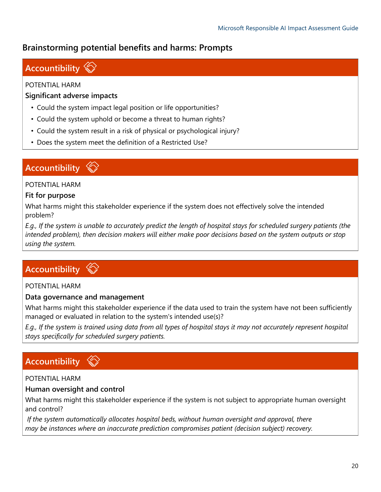### **Brainstorming potential benefits and harms: Prompts**

# **Accountibility**

### POTENTIAL HARM

### **Significant adverse impacts**

- Could the system impact legal position or life opportunities?
- Could the system uphold or become a threat to human rights?
- Could the system result in a risk of physical or psychological injury?
- Does the system meet the definition of a Restricted Use?

# **Accountibility**  $\&$

### POTENTIAL HARM

### **Fit for purpose**

What harms might this stakeholder experience if the system does not effectively solve the intended problem?

*E.g., If the system is unable to accurately predict the length of hospital stays for scheduled surgery patients (the intended problem), then decision makers will either make poor decisions based on the system outputs or stop using the system.*

# **Accountibility**

### POTENTIAL HARM

### **Data governance and management**

What harms might this stakeholder experience if the data used to train the system have not been sufficiently managed or evaluated in relation to the system's intended use(s)?

*E.g., If the system is trained using data from all types of hospital stays it may not accurately represent hospital stays specifically for scheduled surgery patients.*

# **Accountibility**

### POTENTIAL HARM

### **Human oversight and control**

What harms might this stakeholder experience if the system is not subject to appropriate human oversight and control?

*If the system automatically allocates hospital beds, without human oversight and approval, there may be instances where an inaccurate prediction compromises patient (decision subject) recovery.*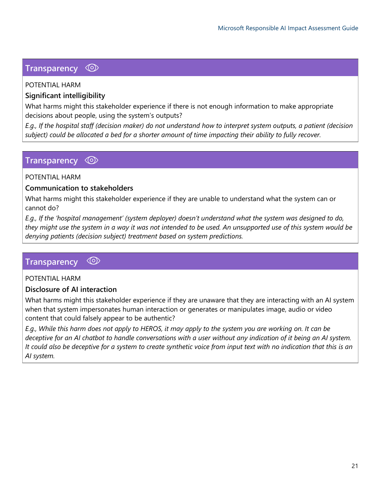### **Transparency**

### POTENTIAL HARM

### **Significant intelligibility**

What harms might this stakeholder experience if there is not enough information to make appropriate decisions about people, using the system's outputs?

*E.g., If the hospital staff (decision maker) do not understand how to interpret system outputs, a patient (decision subject) could be allocated a bed for a shorter amount of time impacting their ability to fully recover.* 

### **Transparency**  $\circledcirc$

### POTENTIAL HARM

### **Communication to stakeholders**

What harms might this stakeholder experience if they are unable to understand what the system can or cannot do?

*E.g., If the 'hospital management' (system deployer) doesn't understand what the system was designed to do, they might use the system in a way it was not intended to be used. An unsupported use of this system would be denying patients (decision subject) treatment based on system predictions.* 

### $\langle \odot \rangle$ **Transparency**

### POTENTIAL HARM

### **Disclosure of AI interaction**

What harms might this stakeholder experience if they are unaware that they are interacting with an AI system when that system impersonates human interaction or generates or manipulates image, audio or video content that could falsely appear to be authentic?

*E.g., While this harm does not apply to HEROS, it may apply to the system you are working on. It can be* deceptive for an AI chatbot to handle conversations with a user without any indication of it being an AI system. *It could also be deceptive for a system to create synthetic voice from input text with no indication that this is an AI system.*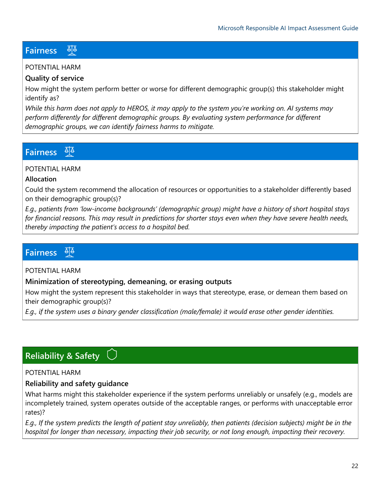### ॺढ़ **Fairness**

### POTENTIAL HARM

### **Quality of service**

How might the system perform better or worse for different demographic group(s) this stakeholder might identify as?

*While this harm does not apply to HEROS, it may apply to the system you're working on. AI systems may perform differently for different demographic groups. By evaluating system performance for different demographic groups, we can identify fairness harms to mitigate.*

### ठ∣ठ **Fairness**

### POTENTIAL HARM

### **Allocation**

Could the system recommend the allocation of resources or opportunities to a stakeholder differently based on their demographic group(s)?

*E.g., patients from 'low-income backgrounds' (demographic group) might have a history of short hospital stays*  for financial reasons. This may result in predictions for shorter stays even when they have severe health needs, *thereby impacting the patient's access to a hospital bed.*

### क∣क **Fairness**

### POTENTIAL HARM

### **Minimization of stereotyping, demeaning, or erasing outputs**

How might the system represent this stakeholder in ways that stereotype, erase, or demean them based on their demographic group(s)?

*E.g., if the system uses a binary gender classification (male/female) it would erase other gender identities.*

### **Reliability & Safety**

### POTENTIAL HARM

### **Reliability and safety guidance**

What harms might this stakeholder experience if the system performs unreliably or unsafely (e.g., models are incompletely trained, system operates outside of the acceptable ranges, or performs with unacceptable error rates)?

*E.g., If the system predicts the length of patient stay unreliably, then patients (decision subjects) might be in the hospital for longer than necessary, impacting their job security, or not long enough, impacting their recovery.*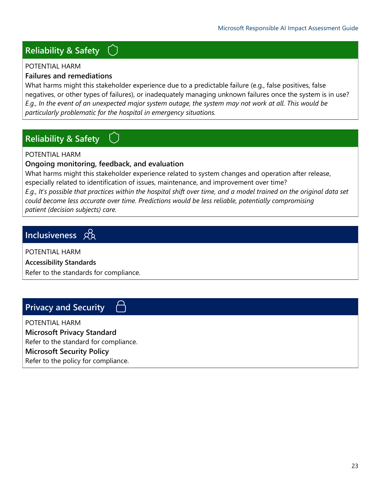# **Reliability & Safety**

### POTENTIAL HARM

### **Failures and remediations**

What harms might this stakeholder experience due to a predictable failure (e.g., false positives, false negatives, or other types of failures), or inadequately managing unknown failures once the system is in use? *E.g., In the event of an unexpected major system outage, the system may not work at all. This would be particularly problematic for the hospital in emergency situations.*

### **Reliability & Safety**

POTENTIAL HARM

### **Ongoing monitoring, feedback, and evaluation**

What harms might this stakeholder experience related to system changes and operation after release, especially related to identification of issues, maintenance, and improvement over time? *E.g., It's possible that practices within the hospital shift over time, and a model trained on the original data set could become less accurate over time. Predictions would be less reliable, potentially compromising* 

*patient (decision subjects) care.*

# **Inclusiveness**

POTENTIAL HARM

**Accessibility Standards**

Refer to the standards for compliance.

# **Privacy and Security**

POTENTIAL HARM **Microsoft Privacy Standard** Refer to the standard for compliance. **Microsoft Security Policy** Refer to the policy for compliance.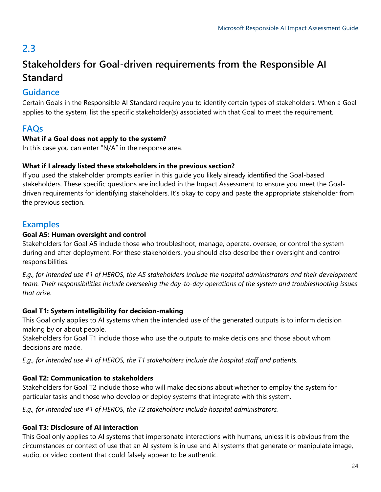# **Stakeholders for Goal-driven requirements from the Responsible AI Standard**

### **Guidance**

Certain Goals in the Responsible AI Standard require you to identify certain types of stakeholders. When a Goal applies to the system, list the specific stakeholder(s) associated with that Goal to meet the requirement.

### **FAQs**

### **What if a Goal does not apply to the system?**

In this case you can enter "N/A" in the response area.

### **What if I already listed these stakeholders in the previous section?**

If you used the stakeholder prompts earlier in this guide you likely already identified the Goal-based stakeholders. These specific questions are included in the Impact Assessment to ensure you meet the Goaldriven requirements for identifying stakeholders. It's okay to copy and paste the appropriate stakeholder from the previous section.

### **Examples**

### **Goal A5: Human oversight and control**

Stakeholders for Goal A5 include those who troubleshoot, manage, operate, oversee, or control the system during and after deployment. For these stakeholders, you should also describe their oversight and control responsibilities.

*E.g., for intended use #1 of HEROS, the A5 stakeholders include the hospital administrators and their development team. Their responsibilities include overseeing the day-to-day operations of the system and troubleshooting issues that arise.*

### **Goal T1: System intelligibility for decision-making**

This Goal only applies to AI systems when the intended use of the generated outputs is to inform decision making by or about people.

Stakeholders for Goal T1 include those who use the outputs to make decisions and those about whom decisions are made.

*E.g., for intended use #1 of HEROS, the T1 stakeholders include the hospital staff and patients.* 

### **Goal T2: Communication to stakeholders**

Stakeholders for Goal T2 include those who will make decisions about whether to employ the system for particular tasks and those who develop or deploy systems that integrate with this system.

*E.g., for intended use #1 of HEROS, the T2 stakeholders include hospital administrators.* 

### **Goal T3: Disclosure of AI interaction**

This Goal only applies to AI systems that impersonate interactions with humans, unless it is obvious from the circumstances or context of use that an AI system is in use and AI systems that generate or manipulate image, audio, or video content that could falsely appear to be authentic.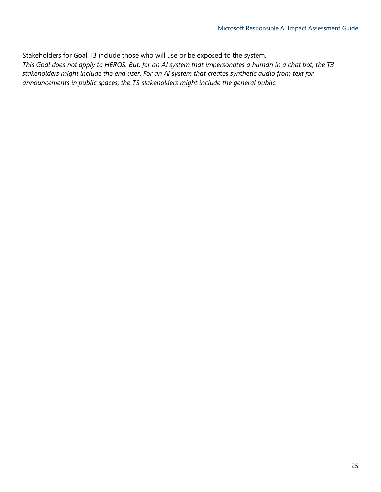Stakeholders for Goal T3 include those who will use or be exposed to the system. *This Goal does not apply to HEROS. But, for an AI system that impersonates a human in a chat bot, the T3 stakeholders might include the end user. For an AI system that creates synthetic audio from text for announcements in public spaces, the T3 stakeholders might include the general public.*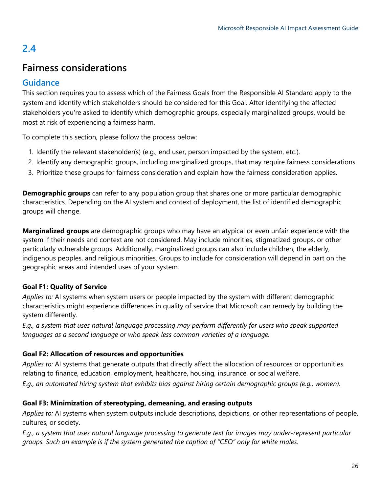# **Fairness considerations**

### **Guidance**

This section requires you to assess which of the Fairness Goals from the Responsible AI Standard apply to the system and identify which stakeholders should be considered for this Goal. After identifying the affected stakeholders you're asked to identify which demographic groups, especially marginalized groups, would be most at risk of experiencing a fairness harm.

To complete this section, please follow the process below:

- 1. Identify the relevant stakeholder(s) (e.g., end user, person impacted by the system, etc.).
- 2. Identify any demographic groups, including marginalized groups, that may require fairness considerations.
- 3. Prioritize these groups for fairness consideration and explain how the fairness consideration applies.

**Demographic groups** can refer to any population group that shares one or more particular demographic characteristics. Depending on the AI system and context of deployment, the list of identified demographic groups will change.

**Marginalized groups** are demographic groups who may have an atypical or even unfair experience with the system if their needs and context are not considered. May include minorities, stigmatized groups, or other particularly vulnerable groups. Additionally, marginalized groups can also include children, the elderly, indigenous peoples, and religious minorities. Groups to include for consideration will depend in part on the geographic areas and intended uses of your system.

### **Goal F1: Quality of Service**

*Applies to:* AI systems when system users or people impacted by the system with different demographic characteristics might experience differences in quality of service that Microsoft can remedy by building the system differently.

*E.g., a system that uses natural language processing may perform differently for users who speak supported languages as a second language or who speak less common varieties of a language.* 

### **Goal F2: Allocation of resources and opportunities**

*Applies to:* AI systems that generate outputs that directly affect the allocation of resources or opportunities relating to finance, education, employment, healthcare, housing, insurance, or social welfare.

*E.g., an automated hiring system that exhibits bias against hiring certain demographic groups (e.g., women).* 

### **Goal F3: Minimization of stereotyping, demeaning, and erasing outputs**

*Applies to:* AI systems when system outputs include descriptions, depictions, or other representations of people, cultures, or society.

*E.g., a system that uses natural language processing to generate text for images may under-represent particular groups. Such an example is if the system generated the caption of "CEO" only for white males.*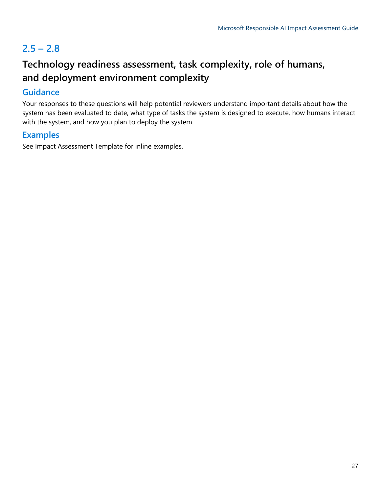# $2.5 - 2.8$

# **Technology readiness assessment, task complexity, role of humans, and deployment environment complexity**

### **Guidance**

Your responses to these questions will help potential reviewers understand important details about how the system has been evaluated to date, what type of tasks the system is designed to execute, how humans interact with the system, and how you plan to deploy the system.

### **Examples**

See Impact Assessment Template for inline examples.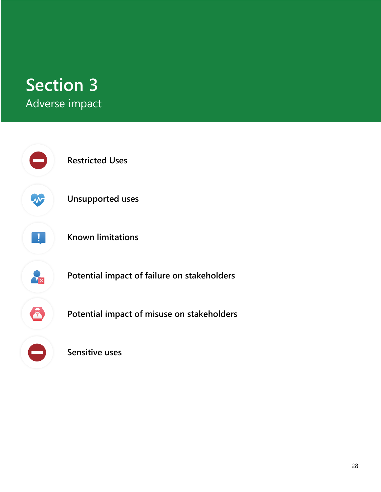# **Section 3** Adverse impact

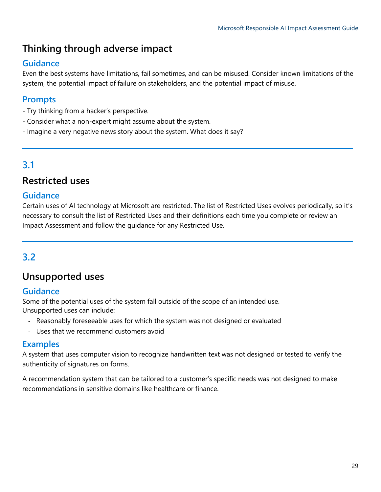# **Thinking through adverse impact**

### **Guidance**

Even the best systems have limitations, fail sometimes, and can be misused. Consider known limitations of the system, the potential impact of failure on stakeholders, and the potential impact of misuse.

### **Prompts**

- Try thinking from a hacker's perspective.
- Consider what a non-expert might assume about the system.
- Imagine a very negative news story about the system. What does it say?

# **3.1**

# **Restricted uses**

### **Guidance**

Certain uses of AI technology at Microsoft are restricted. The list of Restricted Uses evolves periodically, so it's necessary to consult the list of Restricted Uses and their definitions each time you complete or review an Impact Assessment and follow the guidance for any Restricted Use.

# **3.2**

# **Unsupported uses**

### **Guidance**

Some of the potential uses of the system fall outside of the scope of an intended use. Unsupported uses can include:

- Reasonably foreseeable uses for which the system was not designed or evaluated
- Uses that we recommend customers avoid

### **Examples**

A system that uses computer vision to recognize handwritten text was not designed or tested to verify the authenticity of signatures on forms.

A recommendation system that can be tailored to a customer's specific needs was not designed to make recommendations in sensitive domains like healthcare or finance.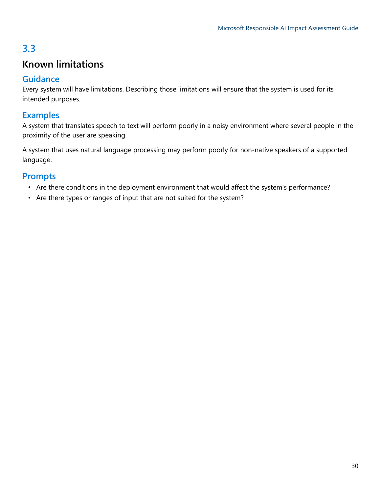# **Known limitations**

### **Guidance**

Every system will have limitations. Describing those limitations will ensure that the system is used for its intended purposes.

### **Examples**

A system that translates speech to text will perform poorly in a noisy environment where several people in the proximity of the user are speaking.

A system that uses natural language processing may perform poorly for non-native speakers of a supported language.

### **Prompts**

- Are there conditions in the deployment environment that would affect the system's performance?
- Are there types or ranges of input that are not suited for the system?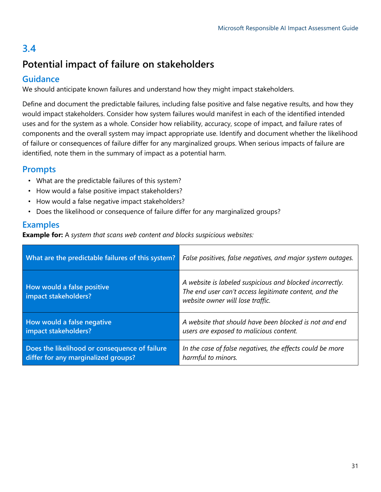# **Potential impact of failure on stakeholders**

### **Guidance**

We should anticipate known failures and understand how they might impact stakeholders.

Define and document the predictable failures, including false positive and false negative results, and how they would impact stakeholders. Consider how system failures would manifest in each of the identified intended uses and for the system as a whole. Consider how reliability, accuracy, scope of impact, and failure rates of components and the overall system may impact appropriate use. Identify and document whether the likelihood of failure or consequences of failure differ for any marginalized groups. When serious impacts of failure are identified, note them in the summary of impact as a potential harm.

### **Prompts**

- What are the predictable failures of this system?
- How would a false positive impact stakeholders?
- How would a false negative impact stakeholders?
- Does the likelihood or consequence of failure differ for any marginalized groups?

### **Examples**

**Example for:** A *system that scans web content and blocks suspicious websites:*

| What are the predictable failures of this system?  | False positives, false negatives, and major system outages.                                                                                           |
|----------------------------------------------------|-------------------------------------------------------------------------------------------------------------------------------------------------------|
| How would a false positive<br>impact stakeholders? | A website is labeled suspicious and blocked incorrectly.<br>The end user can't access legitimate content, and the<br>website owner will lose traffic. |
| How would a false negative                         | A website that should have been blocked is not and end                                                                                                |
| impact stakeholders?                               | users are exposed to malicious content.                                                                                                               |
| Does the likelihood or consequence of failure      | In the case of false negatives, the effects could be more                                                                                             |
| differ for any marginalized groups?                | harmful to minors.                                                                                                                                    |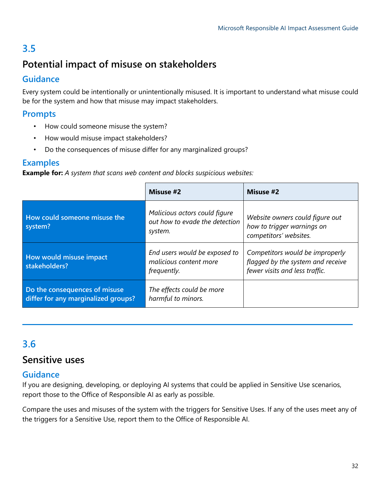# **Potential impact of misuse on stakeholders**

### **Guidance**

Every system could be intentionally or unintentionally misused. It is important to understand what misuse could be for the system and how that misuse may impact stakeholders.

### **Prompts**

- How could someone misuse the system?
- How would misuse impact stakeholders?
- Do the consequences of misuse differ for any marginalized groups?

### **Examples**

**Example for:** *A system that scans web content and blocks suspicious websites:*

|                                                                      | Misuse #2                                                                  | Misuse #2                                                                                              |
|----------------------------------------------------------------------|----------------------------------------------------------------------------|--------------------------------------------------------------------------------------------------------|
| How could someone misuse the<br>system?                              | Malicious actors could figure<br>out how to evade the detection<br>system. | Website owners could figure out<br>how to trigger warnings on<br>competitors' websites.                |
| How would misuse impact<br>stakeholders?                             | End users would be exposed to<br>malicious content more<br>frequently.     | Competitors would be improperly<br>flagged by the system and receive<br>fewer visits and less traffic. |
| Do the consequences of misuse<br>differ for any marginalized groups? | The effects could be more<br>harmful to minors.                            |                                                                                                        |

# **3.6**

### **Sensitive uses**

### **Guidance**

If you are designing, developing, or deploying AI systems that could be applied in Sensitive Use scenarios, report those to the Office of Responsible AI as early as possible.

Compare the uses and misuses of the system with the triggers for Sensitive Uses. If any of the uses meet any of the triggers for a Sensitive Use, report them to the Office of Responsible AI.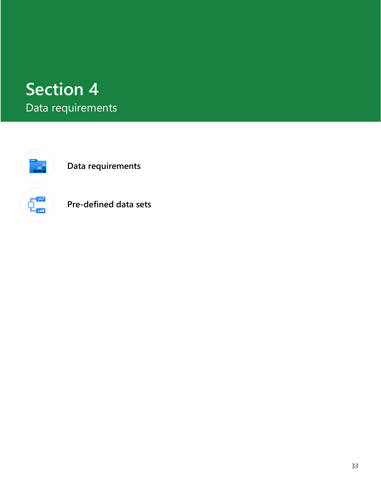# **Section 4** Data requirements



**Pre-defined data sets**

**Data requirements**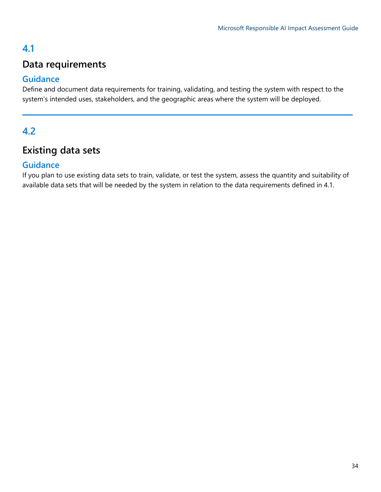# **Data requirements**

### **Guidance**

Define and document data requirements for training, validating, and testing the system with respect to the system's intended uses, stakeholders, and the geographic areas where the system will be deployed.

# **4.2**

# **Existing data sets**

### **Guidance**

If you plan to use existing data sets to train, validate, or test the system, assess the quantity and suitability of available data sets that will be needed by the system in relation to the data requirements defined in 4.1.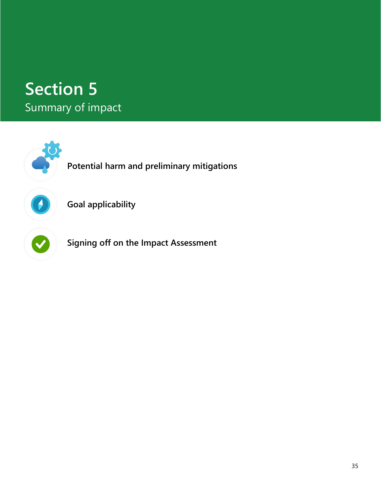# **Section 5** Summary of impact

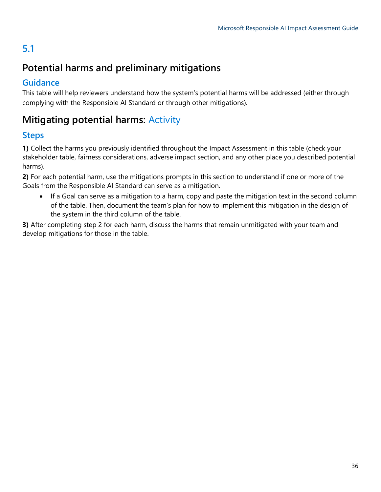# **Potential harms and preliminary mitigations**

### **Guidance**

This table will help reviewers understand how the system's potential harms will be addressed (either through complying with the Responsible AI Standard or through other mitigations).

# **Mitigating potential harms:** Activity

### **Steps**

**1)** Collect the harms you previously identified throughout the Impact Assessment in this table (check your stakeholder table, fairness considerations, adverse impact section, and any other place you described potential harms).

**2)** For each potential harm, use the mitigations prompts in this section to understand if one or more of the Goals from the Responsible AI Standard can serve as a mitigation.

• If a Goal can serve as a mitigation to a harm, copy and paste the mitigation text in the second column of the table. Then, document the team's plan for how to implement this mitigation in the design of the system in the third column of the table.

**3)** After completing step 2 for each harm, discuss the harms that remain unmitigated with your team and develop mitigations for those in the table.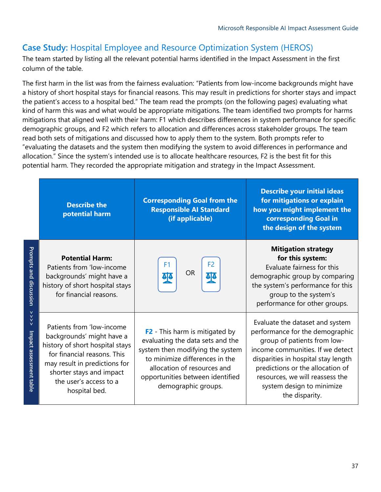# **Case Study:** Hospital Employee and Resource Optimization System (HEROS)

The team started by listing all the relevant potential harms identified in the Impact Assessment in the first column of the table.

The first harm in the list was from the fairness evaluation: "Patients from low-income backgrounds might have a history of short hospital stays for financial reasons. This may result in predictions for shorter stays and impact the patient's access to a hospital bed." The team read the prompts (on the following pages) evaluating what kind of harm this was and what would be appropriate mitigations. The team identified two prompts for harms mitigations that aligned well with their harm: F1 which describes differences in system performance for specific demographic groups, and F2 which refers to allocation and differences across stakeholder groups. The team read both sets of mitigations and discussed how to apply them to the system. Both prompts refer to "evaluating the datasets and the system then modifying the system to avoid differences in performance and allocation." Since the system's intended use is to allocate healthcare resources, F2 is the best fit for this potential harm. They recorded the appropriate mitigation and strategy in the Impact Assessment.

|                                             | <b>Describe the</b><br>potential harm                                                                                                                                                                                            | <b>Corresponding Goal from the</b><br><b>Responsible AI Standard</b><br>(if applicable)                                                                                                                                                   | <b>Describe your initial ideas</b><br>for mitigations or explain<br>how you might implement the<br>corresponding Goal in<br>the design of the system                                                                                                                                               |
|---------------------------------------------|----------------------------------------------------------------------------------------------------------------------------------------------------------------------------------------------------------------------------------|-------------------------------------------------------------------------------------------------------------------------------------------------------------------------------------------------------------------------------------------|----------------------------------------------------------------------------------------------------------------------------------------------------------------------------------------------------------------------------------------------------------------------------------------------------|
| <b>Prompts and discussion</b>               | <b>Potential Harm:</b><br>Patients from 'low-income<br>backgrounds' might have a<br>history of short hospital stays<br>for financial reasons.                                                                                    | F2<br>F1<br><b>OR</b><br>40<br>40                                                                                                                                                                                                         | <b>Mitigation strategy</b><br>for this system:<br>Evaluate fairness for this<br>demographic group by comparing<br>the system's performance for this<br>group to the system's<br>performance for other groups.                                                                                      |
| $\vee$<br>$\leq$<br>Impact assessment table | Patients from 'low-income<br>backgrounds' might have a<br>history of short hospital stays<br>for financial reasons. This<br>may result in predictions for<br>shorter stays and impact<br>the user's access to a<br>hospital bed. | <b>F2</b> - This harm is mitigated by<br>evaluating the data sets and the<br>system then modifying the system<br>to minimize differences in the<br>allocation of resources and<br>opportunities between identified<br>demographic groups. | Evaluate the dataset and system<br>performance for the demographic<br>group of patients from low-<br>income communities. If we detect<br>disparities in hospital stay length<br>predictions or the allocation of<br>resources, we will reassess the<br>system design to minimize<br>the disparity. |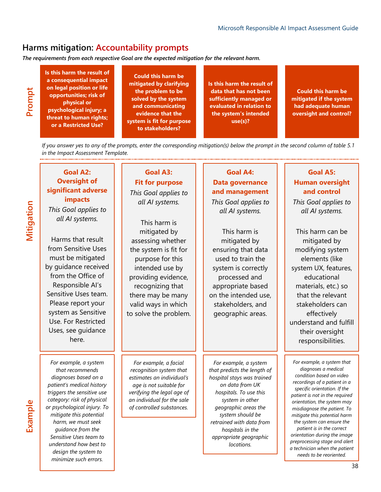### **Harms mitigation: Accountability prompts**

*The requirements from each respective Goal are the expected mitigation for the relevant harm.*

# **Prompt**

**Is this harm the result of a consequential impact on legal position or life opportunities; risk of physical or psychological injury; a threat to human rights; or a Restricted Use?**

### **Could this harm be mitigated by clarifying the problem to be solved by the system and communicating evidence that the system is fit for purpose to stakeholders?**

**Is this harm the result of data that has not been sufficiently managed or evaluated in relation to the system's intended use(s)?**

**Could this harm be mitigated if the system had adequate human oversight and control?**

*If you answer yes to any of the prompts, enter the corresponding mitigation(s) below the prompt in the second column of table 5.1 in the Impact Assessment Template.*

### **Goal A2: Goal A3: Goal A4: Goal A5: Oversight of Fit for purpose Data governance Human oversight significant adverse and control and management** *This Goal applies to*  **impacts** *all AI systems. This Goal applies to This Goal applies to This Goal applies to all AI systems. all AI systems. all AI systems.* This harm is This harm is This harm can be mitigated by Harms that result assessing whether mitigated by mitigated by from Sensitive Uses the system is fit for ensuring that data modifying system must be mitigated purpose for this used to train the elements (like by guidance received intended use by system is correctly system UX, features, from the Office of providing evidence, processed and educational Responsible AI's recognizing that appropriate based materials, etc.) so Sensitive Uses team. there may be many on the intended use, that the relevant Please report your valid ways in which stakeholders, and stakeholders can system as Sensitive to solve the problem. geographic areas. effectively Use. For Restricted understand and fulfill Uses, see guidance their oversight here. responsibilities. *For example, a system For example, a facial For example, a system For example, a system that diagnoses a medical that recommends that predicts the length of recognition system that condition based on video diagnoses based on a estimates an individual's hospital stays was trained recordings of a patient in a patient's medical history age is not suitable for on data from UK specific orientation. If the triggers the sensitive use verifying the legal age of hospitals. To use this patient is not in the required category: risk of physical an individual for the sale system in other orientation, the system may or psychological injury. To of controlled substances. geographic areas the misdiagnose the patient. To mitigate this potential system should be mitigate this potential harm harm, we must seek the system can ensure the retrained with data from patient is in the correct guidance from the hospitals in the orientation during the image Sensitive Uses team to appropriate geographic preprocessing stage and alert understand how best to locations. a technician when the patient design the system to needs to be reoriented. minimize such errors.*

# Mitigation **Example Mitigation**

Example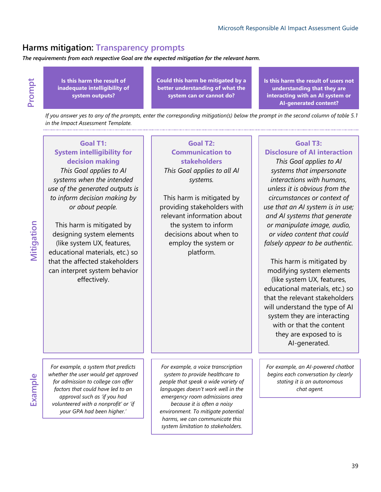### **Harms mitigation: Transparency prompts**

*The requirements from each respective Goal are the expected mitigation for the relevant harm.*

**Prompt**

**Is this harm the result of inadequate intelligibility of system outputs?**

**Could this harm be mitigated by a better understanding of what the system can or cannot do?**

**Is this harm the result of users not understanding that they are interacting with an AI system or AI-generated content?** 

*If you answer yes to any of the prompts, enter the corresponding mitigation(s) below the prompt in the second column of table 5.1 in the Impact Assessment Template.*

**System intelligibility for decision making** *This Goal applies to AI systems when the intended use of the generated outputs is to inform decision making by or about people.* 

**Goal T1:** 

This harm is mitigated by designing system elements (like system UX, features, educational materials, etc.) so that the affected stakeholders can interpret system behavior effectively.

**Goal T2: Communication to stakeholders** *This Goal applies to all AI systems.*

This harm is mitigated by providing stakeholders with relevant information about the system to inform decisions about when to employ the system or platform.

### **Goal T3: Disclosure of AI interaction**

*This Goal applies to AI systems that impersonate interactions with humans, unless it is obvious from the circumstances or context of use that an AI system is in use; and AI systems that generate or manipulate image, audio, or video content that could falsely appear to be authentic.*

This harm is mitigated by modifying system elements (like system UX, features, educational materials, etc.) so that the relevant stakeholders will understand the type of AI system they are interacting with or that the content they are exposed to is AI-generated.

*For example, an AI-powered chatbot begins each conversation by clearly stating it is an autonomous chat agent.*

**Mitigation**

**Example**

*For example, a system that predicts whether the user would get approved for admission to college can offer factors that could have led to an approval such as 'if you had volunteered with a nonprofit' or 'if your GPA had been higher.'*

*For example, a voice transcription system to provide healthcare to people that speak a wide variety of languages doesn't work well in the emergency room admissions area because it is often a noisy environment. To mitigate potential harms, we can communicate this system limitation to stakeholders.*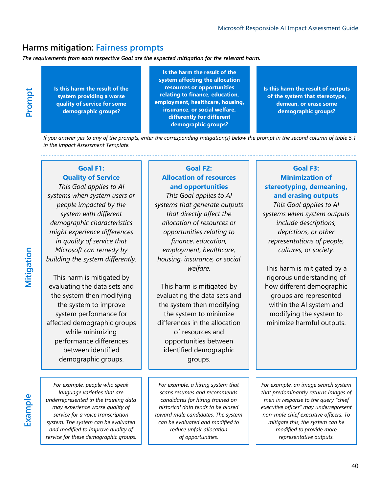### **Harms mitigation: Fairness prompts**

*The requirements from each respective Goal are the expected mitigation for the relevant harm.*

**Prompt**

**Is this harm the result of the system providing a worse quality of service for some demographic groups?**

**Is the harm the result of the system affecting the allocation resources or opportunities relating to finance, education, employment, healthcare, housing, insurance, or social welfare, differently for different demographic groups?**

**Is this harm the result of outputs of the system that stereotype, demean, or erase some demographic groups?**

*If you answer yes to any of the prompts, enter the corresponding mitigation(s) below the prompt in the second column of table 5.1 in the Impact Assessment Template.*

### **Goal F1: Quality of Service**

*This Goal applies to AI systems when system users or people impacted by the system with different demographic characteristics might experience differences in quality of service that Microsoft can remedy by building the system differently.*

This harm is mitigated by evaluating the data sets and the system then modifying the system to improve system performance for affected demographic groups while minimizing performance differences between identified demographic groups.

*For example, people who speak language varieties that are underrepresented in the training data may experience worse quality of service for a voice transcription system. The system can be evaluated and modified to improve quality of service for these demographic groups.*

# **Goal F2:**

### **Allocation of resources and opportunities**

*This Goal applies to AI systems that generate outputs that directly affect the allocation of resources or opportunities relating to finance, education, employment, healthcare, housing, insurance, or social welfare.*

This harm is mitigated by evaluating the data sets and the system then modifying the system to minimize differences in the allocation of resources and opportunities between identified demographic groups.

*For example, a hiring system that scans resumes and recommends candidates for hiring trained on historical data tends to be biased toward male candidates. The system can be evaluated and modified to reduce unfair allocation of opportunities.* 

### **Goal F3: Minimization of stereotyping, demeaning, and erasing outputs**

*This Goal applies to AI systems when system outputs include descriptions, depictions, or other representations of people, cultures, or society.*

This harm is mitigated by a rigorous understanding of how different demographic groups are represented within the AI system and modifying the system to minimize harmful outputs.

*For example, an image search system that predominantly returns images of men in response to the query "chief executive officer" may underrepresent non-male chief executive officers. To mitigate this, the system can be modified to provide more representative outputs.*

**Mitigation**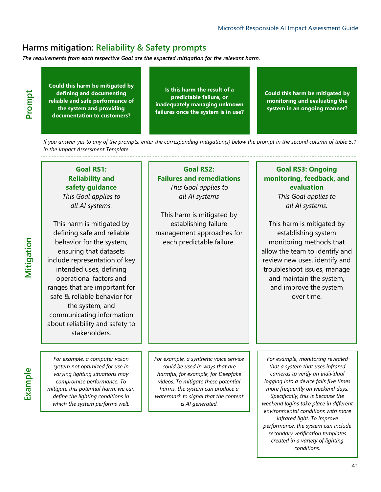# **Harms mitigation: Reliability & Safety prompts**

*The requirements from each respective Goal are the expected mitigation for the relevant harm.*

**Prompt**

**Could this harm be mitigated by defining and documenting reliable and safe performance of the system and providing documentation to customers?**

**Is this harm the result of a predictable failure, or inadequately managing unknown failures once the system is in use?**

**Could this harm be mitigated by monitoring and evaluating the system in an ongoing manner?**

*If you answer yes to any of the prompts, enter the corresponding mitigation(s) below the prompt in the second column of table 5.1 in the Impact Assessment Template.*

### **Goal RS1: Reliability and safety guidance** *This Goal applies to all AI systems.*

This harm is mitigated by defining safe and reliable behavior for the system, ensuring that datasets include representation of key intended uses, defining operational factors and ranges that are important for safe & reliable behavior for the system, and communicating information about reliability and safety to stakeholders.

*For example, a computer vision system not optimized for use in varying lighting situations may compromise performance. To mitigate this potential harm, we can define the lighting conditions in which the system performs well.*

# **Goal RS2: Failures and remediations**

*This Goal applies to all AI systems*

This harm is mitigated by establishing failure management approaches for each predictable failure.

**Goal RS3: Ongoing monitoring, feedback, and evaluation** *This Goal applies to all AI systems.*

This harm is mitigated by establishing system monitoring methods that allow the team to identify and review new uses, identify and troubleshoot issues, manage and maintain the system, and improve the system over time.

*For example, a synthetic voice service could be used in ways that are harmful, for example, for Deepfake videos. To mitigate these potential harms, the system can produce a watermark to signal that the content is AI generated.*

*For example, monitoring revealed that a system that uses infrared cameras to verify an individual logging into a device fails five times more frequently on weekend days. Specifically, this is because the weekend logins take place in different environmental conditions with more infrared light. To improve performance, the system can include secondary verification templates created in a variety of lighting conditions.*

**Mitigation**